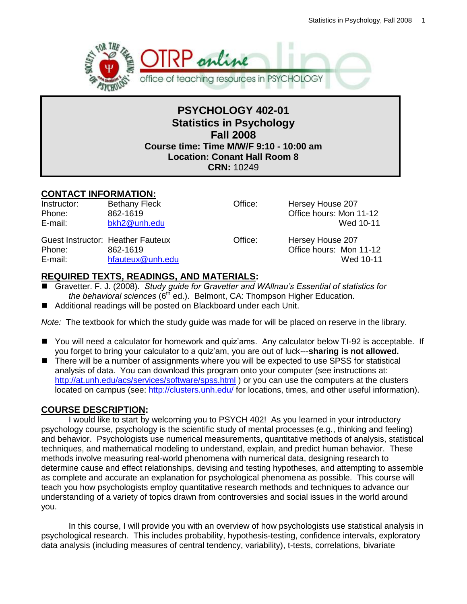

## **PSYCHOLOGY 402-01 Statistics in Psychology Fall 2008 Course time: Time M/W/F 9:10 - 10:00 am Location: Conant Hall Room 8 CRN:** 10249

## **CONTACT INFORMATION:**

Instructor: Bethany Fleck Office: Hersey House 207 Phone: 862-1619 **Bridge Books** Office hours: Mon 11-12 E-mail: [bkh2@unh.edu](mailto:bkh2@unh.edu) Wed 10-11

Guest Instructor: Heather Fauteux **Charlet Contract Contract Charlet Hersey House 207** Phone: 862-1619 **Bridge Books** Office hours: Mon 11-12 E-mail: [hfauteux@unh.edu](mailto:hfauteux@unh.edu) Wed 10-11

## **REQUIRED TEXTS, READINGS, AND MATERIALS:**

- Gravetter. F. J. (2008). *Study guide for Gravetter and WAllnau's Essential of statistics for the behavioral sciences* (6<sup>th</sup> ed.). Belmont, CA: Thompson Higher Education.
- Additional readings will be posted on Blackboard under each Unit.

*Note:* The textbook for which the study guide was made for will be placed on reserve in the library.

- You will need a calculator for homework and quiz'ams. Any calculator below TI-92 is acceptable. If you forget to bring your calculator to a quiz'am, you are out of luck---**sharing is not allowed.**
- There will be a number of assignments where you will be expected to use SPSS for statistical analysis of data. You can download this program onto your computer (see instructions at: <http://at.unh.edu/acs/services/software/spss.html> ) or you can use the computers at the clusters located on campus (see:<http://clusters.unh.edu/> for locations, times, and other useful information).

## **COURSE DESCRIPTION:**

I would like to start by welcoming you to PSYCH 402! As you learned in your introductory psychology course, psychology is the scientific study of mental processes (e.g., thinking and feeling) and behavior. Psychologists use numerical measurements, quantitative methods of analysis, statistical techniques, and mathematical modeling to understand, explain, and predict human behavior. These methods involve measuring real-world phenomena with numerical data, designing research to determine cause and effect relationships, devising and testing hypotheses, and attempting to assemble as complete and accurate an explanation for psychological phenomena as possible. This course will teach you how psychologists employ quantitative research methods and techniques to advance our understanding of a variety of topics drawn from controversies and social issues in the world around you.

In this course, I will provide you with an overview of how psychologists use statistical analysis in psychological research. This includes probability, hypothesis-testing, confidence intervals, exploratory data analysis (including measures of central tendency, variability), t-tests, correlations, bivariate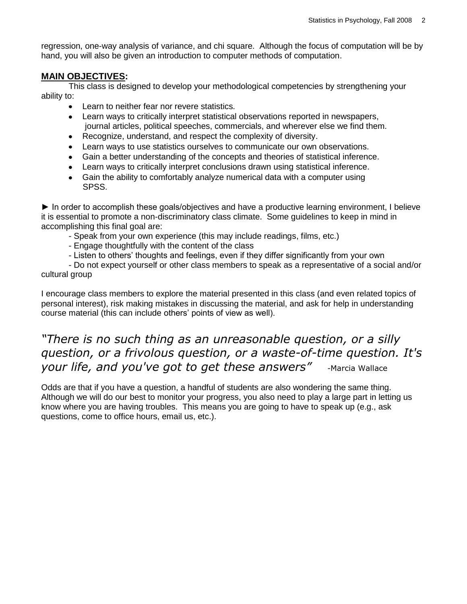regression, one-way analysis of variance, and chi square. Although the focus of computation will be by hand, you will also be given an introduction to computer methods of computation.

### **MAIN OBJECTIVES:**

This class is designed to develop your methodological competencies by strengthening your ability to:

- Learn to neither fear nor revere statistics.
- Learn ways to critically interpret statistical observations reported in newspapers, journal articles, political speeches, commercials, and wherever else we find them.
- Recognize, understand, and respect the complexity of diversity.
- Learn ways to use statistics ourselves to communicate our own observations.
- Gain a better understanding of the concepts and theories of statistical inference.
- Learn ways to critically interpret conclusions drawn using statistical inference.
- Gain the ability to comfortably analyze numerical data with a computer using SPSS.

► In order to accomplish these goals/objectives and have a productive learning environment, I believe it is essential to promote a non-discriminatory class climate. Some guidelines to keep in mind in accomplishing this final goal are:

- Speak from your own experience (this may include readings, films, etc.)
- Engage thoughtfully with the content of the class
- Listen to others' thoughts and feelings, even if they differ significantly from your own

- Do not expect yourself or other class members to speak as a representative of a social and/or cultural group

I encourage class members to explore the material presented in this class (and even related topics of personal interest), risk making mistakes in discussing the material, and ask for help in understanding course material (this can include others' points of view as well).

## *"There is no such thing as an unreasonable question, or a silly question, or a frivolous question, or a waste-of-time question. It's your life, and you've got to get these answers"* -Marcia Wallace

Odds are that if you have a question, a handful of students are also wondering the same thing. Although we will do our best to monitor your progress, you also need to play a large part in letting us know where you are having troubles. This means you are going to have to speak up (e.g., ask questions, come to office hours, email us, etc.).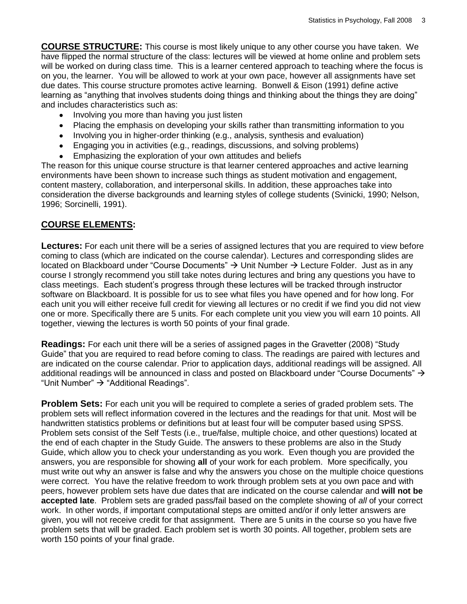**COURSE STRUCTURE:** This course is most likely unique to any other course you have taken. We have flipped the normal structure of the class: lectures will be viewed at home online and problem sets will be worked on during class time. This is a learner centered approach to teaching where the focus is on you, the learner. You will be allowed to work at your own pace, however all assignments have set due dates. This course structure promotes active learning. Bonwell & Eison (1991) define active learning as "anything that involves students doing things and thinking about the things they are doing" and includes characteristics such as:

- Involving you more than having you just listen  $\bullet$
- Placing the emphasis on developing your skills rather than transmitting information to you
- Involving you in higher-order thinking (e.g., analysis, synthesis and evaluation)
- Engaging you in activities (e.g., readings, discussions, and solving problems)
- Emphasizing the exploration of your own attitudes and beliefs

The reason for this unique course structure is that learner centered approaches and active learning environments have been shown to increase such things as student motivation and engagement, content mastery, collaboration, and interpersonal skills. In addition, these approaches take into consideration the diverse backgrounds and learning styles of college students (Svinicki, 1990; Nelson, 1996; Sorcinelli, 1991).

### **COURSE ELEMENTS:**

**Lectures:** For each unit there will be a series of assigned lectures that you are required to view before coming to class (which are indicated on the course calendar). Lectures and corresponding slides are located on Blackboard under "Course Documents"  $\rightarrow$  Unit Number  $\rightarrow$  Lecture Folder. Just as in any course I strongly recommend you still take notes during lectures and bring any questions you have to class meetings. Each student's progress through these lectures will be tracked through instructor software on Blackboard. It is possible for us to see what files you have opened and for how long. For each unit you will either receive full credit for viewing all lectures or no credit if we find you did not view one or more. Specifically there are 5 units. For each complete unit you view you will earn 10 points. All together, viewing the lectures is worth 50 points of your final grade.

**Readings:** For each unit there will be a series of assigned pages in the Gravetter (2008) "Study Guide‖ that you are required to read before coming to class. The readings are paired with lectures and are indicated on the course calendar. Prior to application days, additional readings will be assigned. All additional readings will be announced in class and posted on Blackboard under "Course Documents"  $\rightarrow$ "Unit Number"  $\rightarrow$  "Additional Readings".

**Problem Sets:** For each unit you will be required to complete a series of graded problem sets. The problem sets will reflect information covered in the lectures and the readings for that unit. Most will be handwritten statistics problems or definitions but at least four will be computer based using SPSS. Problem sets consist of the Self Tests (i.e., true/false, multiple choice, and other questions) located at the end of each chapter in the Study Guide. The answers to these problems are also in the Study Guide, which allow you to check your understanding as you work. Even though you are provided the answers, you are responsible for showing **all** of your work for each problem. More specifically, you must write out why an answer is false and why the answers you chose on the multiple choice questions were correct. You have the relative freedom to work through problem sets at you own pace and with peers, however problem sets have due dates that are indicated on the course calendar and **will not be accepted late**. Problem sets are graded pass/fail based on the complete showing of *all* of your correct work. In other words, if important computational steps are omitted and/or if only letter answers are given, you will not receive credit for that assignment. There are 5 units in the course so you have five problem sets that will be graded. Each problem set is worth 30 points. All together, problem sets are worth 150 points of your final grade.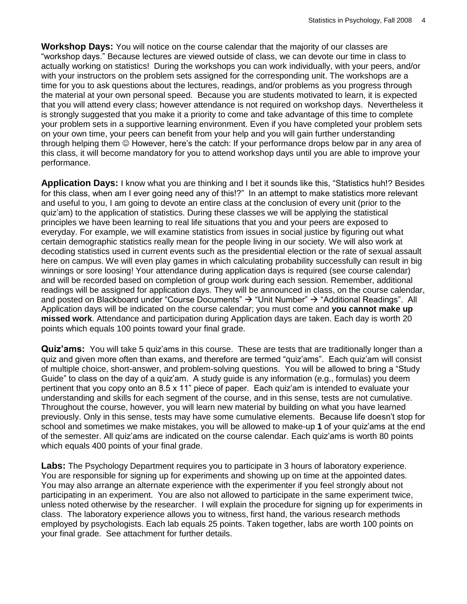**Workshop Days:** You will notice on the course calendar that the majority of our classes are ―workshop days.‖ Because lectures are viewed outside of class, we can devote our time in class to actually working on statistics! During the workshops you can work individually, with your peers, and/or with your instructors on the problem sets assigned for the corresponding unit. The workshops are a time for you to ask questions about the lectures, readings, and/or problems as you progress through the material at your own personal speed. Because you are students motivated to learn, it is expected that you will attend every class; however attendance is not required on workshop days. Nevertheless it is strongly suggested that you make it a priority to come and take advantage of this time to complete your problem sets in a supportive learning environment. Even if you have completed your problem sets on your own time, your peers can benefit from your help and you will gain further understanding through helping them  $\odot$  However, here's the catch: If your performance drops below par in any area of this class, it will become mandatory for you to attend workshop days until you are able to improve your performance.

**Application Days:** I know what you are thinking and I bet it sounds like this, "Statistics huh!? Besides for this class, when am I ever going need any of this!?" In an attempt to make statistics more relevant and useful to you, I am going to devote an entire class at the conclusion of every unit (prior to the quiz'am) to the application of statistics. During these classes we will be applying the statistical principles we have been learning to real life situations that you and your peers are exposed to everyday. For example, we will examine statistics from issues in social justice by figuring out what certain demographic statistics really mean for the people living in our society. We will also work at decoding statistics used in current events such as the presidential election or the rate of sexual assault here on campus. We will even play games in which calculating probability successfully can result in big winnings or sore loosing! Your attendance during application days is required (see course calendar) and will be recorded based on completion of group work during each session. Remember, additional readings will be assigned for application days. They will be announced in class, on the course calendar, and posted on Blackboard under "Course Documents"  $\rightarrow$  "Unit Number"  $\rightarrow$  "Additional Readings". All Application days will be indicated on the course calendar; you must come and **you cannot make up missed work**. Attendance and participation during Application days are taken. Each day is worth 20 points which equals 100 points toward your final grade.

**Quiz'ams:** You will take 5 quiz'ams in this course. These are tests that are traditionally longer than a quiz and given more often than exams, and therefore are termed "quiz'ams". Each quiz'am will consist of multiple choice, short-answer, and problem-solving questions. You will be allowed to bring a "Study" Guide‖ to class on the day of a quiz'am. A study guide is any information (e.g., formulas) you deem pertinent that you copy onto an 8.5 x 11" piece of paper. Each quiz'am is intended to evaluate your understanding and skills for each segment of the course, and in this sense, tests are not cumulative. Throughout the course, however, you will learn new material by building on what you have learned previously. Only in this sense, tests may have some cumulative elements. Because life doesn't stop for school and sometimes we make mistakes, you will be allowed to make-up **1** of your quiz'ams at the end of the semester. All quiz'ams are indicated on the course calendar. Each quiz'ams is worth 80 points which equals 400 points of your final grade.

**Labs:** The Psychology Department requires you to participate in 3 hours of laboratory experience. You are responsible for signing up for experiments and showing up on time at the appointed dates. You may also arrange an alternate experience with the experimenter if you feel strongly about not participating in an experiment. You are also not allowed to participate in the same experiment twice, unless noted otherwise by the researcher. I will explain the procedure for signing up for experiments in class. The laboratory experience allows you to witness, first hand, the various research methods employed by psychologists. Each lab equals 25 points. Taken together, labs are worth 100 points on your final grade. See attachment for further details.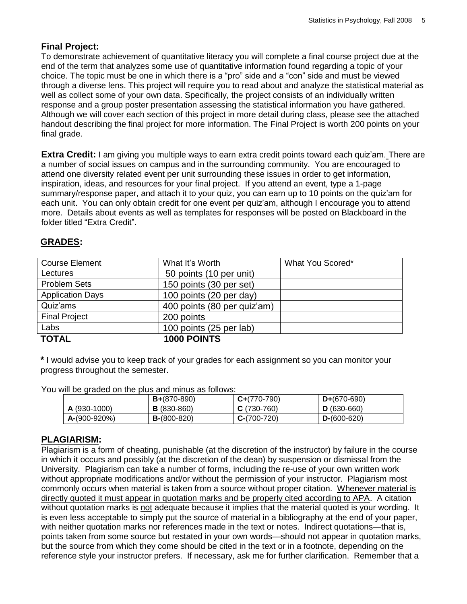## **Final Project:**

To demonstrate achievement of quantitative literacy you will complete a final course project due at the end of the term that analyzes some use of quantitative information found regarding a topic of your choice. The topic must be one in which there is a "pro" side and a "con" side and must be viewed through a diverse lens. This project will require you to read about and analyze the statistical material as well as collect some of your own data. Specifically, the project consists of an individually written response and a group poster presentation assessing the statistical information you have gathered. Although we will cover each section of this project in more detail during class, please see the attached handout describing the final project for more information. The Final Project is worth 200 points on your final grade.

**Extra Credit:** I am giving you multiple ways to earn extra credit points toward each quiz'am. There are a number of social issues on campus and in the surrounding community. You are encouraged to attend one diversity related event per unit surrounding these issues in order to get information, inspiration, ideas, and resources for your final project. If you attend an event, type a 1-page summary/response paper, and attach it to your quiz, you can earn up to 10 points on the quiz'am for each unit. You can only obtain credit for one event per quiz'am, although I encourage you to attend more. Details about events as well as templates for responses will be posted on Blackboard in the folder titled "Extra Credit".

## **GRADES:**

| <b>Course Element</b>   | What It's Worth             | What You Scored* |
|-------------------------|-----------------------------|------------------|
| Lectures                | 50 points (10 per unit)     |                  |
| <b>Problem Sets</b>     | 150 points (30 per set)     |                  |
| <b>Application Days</b> | 100 points (20 per day)     |                  |
| Quiz'ams                | 400 points (80 per quiz'am) |                  |
| <b>Final Project</b>    | 200 points                  |                  |
| Labs                    | 100 points (25 per lab)     |                  |
| <b>TOTAL</b>            | <b>1000 POINTS</b>          |                  |

**\*** I would advise you to keep track of your grades for each assignment so you can monitor your progress throughout the semester.

You will be graded on the plus and minus as follows:

|                | $B+(870-890)$      | $C+(770-790)$ | $D+(670-690)$ |
|----------------|--------------------|---------------|---------------|
| A (930-1000)   | <b>B</b> (830-860) | $C(730-760)$  | $D(630-660)$  |
| $A-(900-920%)$ | $B-(800-820)$      | $C-(700-720)$ | $D-(600-620)$ |

### **PLAGIARISM:**

Plagiarism is a form of cheating, punishable (at the discretion of the instructor) by failure in the course in which it occurs and possibly (at the discretion of the dean) by suspension or dismissal from the University. Plagiarism can take a number of forms, including the re-use of your own written work without appropriate modifications and/or without the permission of your instructor. Plagiarism most commonly occurs when material is taken from a source without proper citation. Whenever material is directly quoted it must appear in quotation marks and be properly cited according to APA. A citation without quotation marks is not adequate because it implies that the material quoted is your wording. It is even less acceptable to simply put the source of material in a bibliography at the end of your paper, with neither quotation marks nor references made in the text or notes. Indirect quotations—that is, points taken from some source but restated in your own words—should not appear in quotation marks, but the source from which they come should be cited in the text or in a footnote, depending on the reference style your instructor prefers. If necessary, ask me for further clarification. Remember that a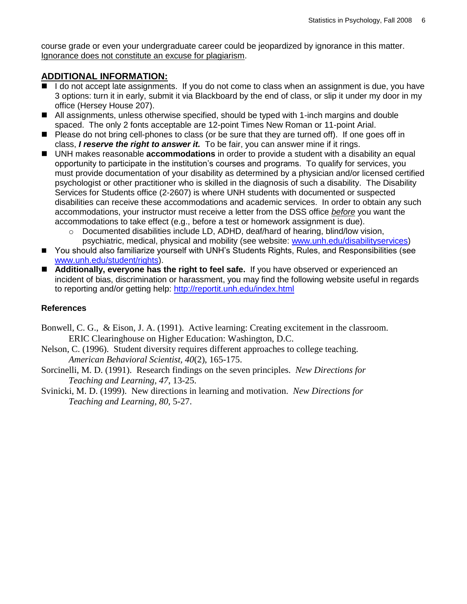course grade or even your undergraduate career could be jeopardized by ignorance in this matter. Ignorance does not constitute an excuse for plagiarism.

### **ADDITIONAL INFORMATION:**

- I do not accept late assignments. If you do not come to class when an assignment is due, you have 3 options: turn it in early, submit it via Blackboard by the end of class, or slip it under my door in my office (Hersey House 207).
- All assignments, unless otherwise specified, should be typed with 1-inch margins and double spaced. The only 2 fonts acceptable are 12-point Times New Roman or 11-point Arial.
- Please do not bring cell-phones to class (or be sure that they are turned off). If one goes off in class, *I reserve the right to answer it.* To be fair, you can answer mine if it rings.
- UNH makes reasonable **accommodations** in order to provide a student with a disability an equal opportunity to participate in the institution's courses and programs. To qualify for services, you must provide documentation of your disability as determined by a physician and/or licensed certified psychologist or other practitioner who is skilled in the diagnosis of such a disability. The Disability Services for Students office (2-2607) is where UNH students with documented or suspected disabilities can receive these accommodations and academic services. In order to obtain any such accommodations, your instructor must receive a letter from the DSS office *before* you want the accommodations to take effect (e.g., before a test or homework assignment is due).
	- $\circ$  Documented disabilities include LD, ADHD, deaf/hard of hearing, blind/low vision, psychiatric, medical, physical and mobility (see website: [www.unh.edu/disabilityservices\)](http://www.unh.edu/disabilityservices)
- You should also familiarize yourself with UNH's Students Rights, Rules, and Responsibilities (see [www.unh.edu/student/rights\)](http://www.unh.edu/student/rights).
- **Additionally, everyone has the right to feel safe.** If you have observed or experienced an incident of bias, discrimination or harassment, you may find the following website useful in regards to reporting and/or getting help:<http://reportit.unh.edu/index.html>

### **References**

- Bonwell, C. G., & Eison, J. A. (1991). Active learning: Creating excitement in the classroom. ERIC Clearinghouse on Higher Education: Washington, D.C.
- Nelson, C. (1996). Student diversity requires different approaches to college teaching. *American Behavioral Scientist, 40*(2), 165-175.
- Sorcinelli, M. D. (1991). Research findings on the seven principles. *New Directions for Teaching and Learning, 47*, 13-25.
- Svinicki, M. D. (1999). New directions in learning and motivation. *New Directions for Teaching and Learning, 80,* 5-27.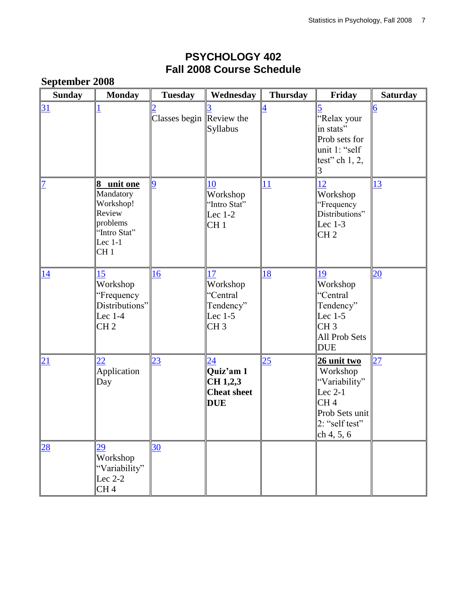## **PSYCHOLOGY 402 Fall 2008 Course Schedule**

|                 | <b>September 2008</b>                                                                                      |                          |                                                                       |                 |                                                                                                                         |                  |  |
|-----------------|------------------------------------------------------------------------------------------------------------|--------------------------|-----------------------------------------------------------------------|-----------------|-------------------------------------------------------------------------------------------------------------------------|------------------|--|
| <b>Sunday</b>   | <b>Monday</b>                                                                                              | <b>Tuesday</b>           | Wednesday                                                             | <b>Thursday</b> | Friday                                                                                                                  | <b>Saturday</b>  |  |
| $\overline{31}$ |                                                                                                            | Classes begin Review the | Syllabus                                                              |                 | 'Relax your<br>in stats"<br>Prob sets for<br>unit 1: "self<br>test" ch $1, 2,$                                          | $\boldsymbol{6}$ |  |
| $\overline{1}$  | 8 unit one<br>Mandatory<br>Workshop!<br>Review<br>problems<br>"Intro Stat"<br>Lec $1-1$<br>CH <sub>1</sub> | 9                        | 10<br>Workshop<br>'Intro Stat"<br>Lec $1-2$<br>CH <sub>1</sub>        | 11              | 12<br>Workshop<br>"Frequency<br>Distributions"<br>Lec $1-3$<br>CH <sub>2</sub>                                          | 13               |  |
| 14              | 15<br>Workshop<br>"Frequency<br>Distributions"<br>Lec $1-4$<br>CH <sub>2</sub>                             | 16                       | 17<br>Workshop<br>"Central<br>Tendency"<br>Lec 1-5<br>CH <sub>3</sub> | <u>18</u>       | 19<br>Workshop<br>"Central<br>Tendency"<br>Lec $1-5$<br>CH <sub>3</sub><br><b>All Prob Sets</b><br><b>DUE</b>           | $\overline{20}$  |  |
| 21              | $\overline{22}$<br>Application<br>Day                                                                      | $\overline{23}$          | 24<br>Quiz'am 1<br>CH 1,2,3<br><b>Cheat sheet</b><br><b>DUE</b>       | $\overline{25}$ | <u>26 unit two</u><br>Workshop<br>"Variability"<br>Lec $2-1$<br>CH4<br>Prob Sets unit<br>$2:$ "self test"<br>ch 4, 5, 6 | $\overline{27}$  |  |
| $\overline{28}$ | 29<br>Workshop<br>"Variability"<br>Lec $2-2$<br>CH <sub>4</sub>                                            | 30                       |                                                                       |                 |                                                                                                                         |                  |  |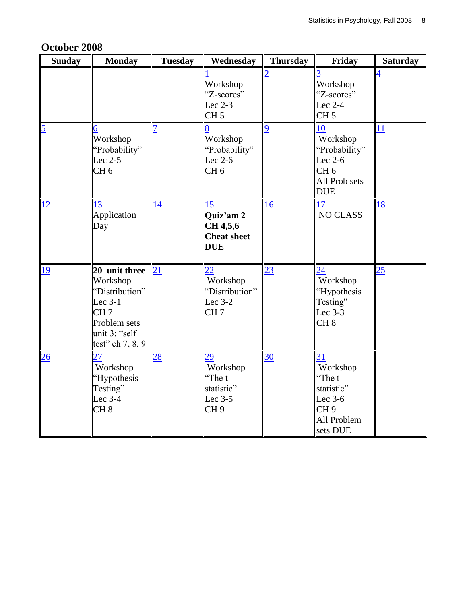| October 2008 |  |
|--------------|--|
|--------------|--|

| <b>Sunday</b>  | <b>Monday</b>                                                                                                                       | <b>Tuesday</b>  | Wednesday                                                                     | <b>Thursday</b> | Friday                                                                              | <b>Saturday</b> |
|----------------|-------------------------------------------------------------------------------------------------------------------------------------|-----------------|-------------------------------------------------------------------------------|-----------------|-------------------------------------------------------------------------------------|-----------------|
|                |                                                                                                                                     |                 | Workshop<br>"Z-scores"<br>Lec $2-3$<br>CH <sub>5</sub>                        |                 | Workshop<br>"Z-scores"<br>Lec 2-4<br>CH <sub>5</sub>                                |                 |
| $\overline{5}$ | 6<br>Workshop<br>'Probability"<br>Lec $2-5$<br>CH <sub>6</sub>                                                                      |                 | Workshop<br>"Probability"<br>Lec $2-6$<br>CH <sub>6</sub>                     | 9               | 10<br>Workshop<br>"Probability"<br>Lec $2-6$<br>CH 6<br>All Prob sets<br><b>DUE</b> | <u>11</u>       |
| 12             | 13<br>Application<br>Day                                                                                                            | $\overline{14}$ | 15<br>Quiz'am 2<br>CH 4,5,6<br><b>Cheat sheet</b><br><b>DUE</b>               | 16              | 17<br><b>NO CLASS</b>                                                               | <u>18</u>       |
| 19             | 20 unit three<br>Workshop<br>'Distribution''<br>Lec $3-1$<br>CH <sub>7</sub><br>Problem sets<br>unit 3: "self<br>test" ch $7, 8, 9$ | 21              | $\overline{22}$<br>Workshop<br>"Distribution"<br>Lec $3-2$<br>CH <sub>7</sub> | <u>23</u>       | 24<br>Workshop<br>"Hypothesis<br>Testing"<br>Lec 3-3<br>CH <sub>8</sub>             | 25              |
| 26             | 27<br>Workshop<br>'Hypothesis<br>Testing"<br>Lec 3-4<br>CH <sub>8</sub>                                                             | $\overline{28}$ | 29<br>Workshop<br>"The t<br>statistic"<br>Lec 3-5<br>CH <sub>9</sub>          | 30              | 31<br>Workshop<br>"The t<br>statistic"<br>Lec 3-6<br>CH9<br>All Problem<br>sets DUE |                 |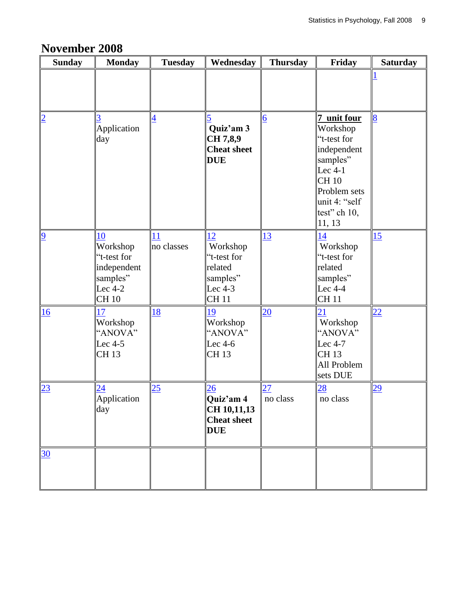## **November 2008**

| <b>Sunday</b>  | <b>Monday</b>                                                                         | <b>Tuesday</b>   | Wednesday                                                                      | <b>Thursday</b>             | Friday                                                                                                                                            | <b>Saturday</b> |
|----------------|---------------------------------------------------------------------------------------|------------------|--------------------------------------------------------------------------------|-----------------------------|---------------------------------------------------------------------------------------------------------------------------------------------------|-----------------|
|                |                                                                                       |                  |                                                                                |                             |                                                                                                                                                   |                 |
| $\overline{2}$ | Application<br>day                                                                    | 4                | Quiz'am 3<br>CH 7,8,9<br><b>Cheat sheet</b><br><b>DUE</b>                      | $\overline{6}$              | 7 unit four<br>Workshop<br>"t-test for<br>independent<br>samples"<br>Lec $4-1$<br>CH10<br>Problem sets<br>unit 4: "self<br>test" ch 10,<br>11, 13 | $\overline{8}$  |
| $\overline{9}$ | 10<br>Workshop<br>"t-test for<br>independent<br>samples"<br>Lec $4-2$<br><b>CH 10</b> | 11<br>no classes | 12<br>Workshop<br>'t-test for<br>related<br>samples"<br>Lec 4-3<br><b>CH11</b> | 13                          | 14<br>Workshop<br>"t-test for<br>related<br>samples"<br>Lec $4-4$<br><b>CH11</b>                                                                  | 15              |
| 16             | 17<br>Workshop<br>"ANOVA"<br>Lec 4-5<br><b>CH13</b>                                   | 18               | 19<br>Workshop<br>"ANOVA"<br>Lec $4-6$<br>CH 13                                | $\overline{20}$             | 21<br>Workshop<br>"ANOVA"<br>Lec $4-7$<br><b>CH13</b><br>All Problem<br>sets DUE                                                                  | 22              |
| 23             | $\sqrt{\frac{24}{\text{Application}}}$<br>day                                         | 25               | $\frac{26}{2}$ Quiz'am 4<br>CH 10,11,13<br><b>Cheat sheet</b><br><b>DUE</b>    | $\overline{27}$<br>no class | $\overline{28}$<br>no class                                                                                                                       | $\overline{29}$ |
| 30             |                                                                                       |                  |                                                                                |                             |                                                                                                                                                   |                 |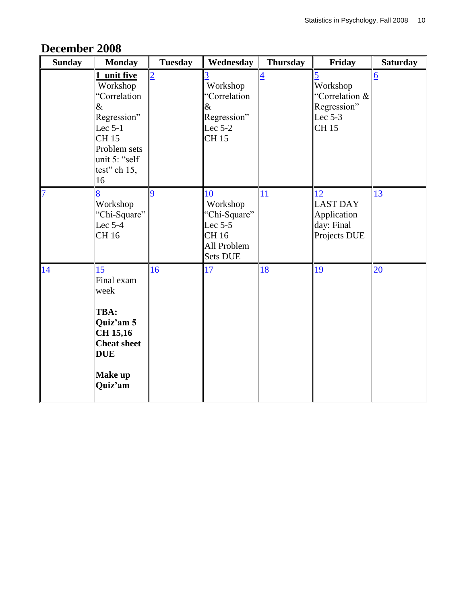| <b>Sunday</b>  | <b>Monday</b>                                                                                                                                     | <b>Tuesday</b> | Wednesday                                                                                     | <b>Thursday</b> | Friday                                                              | <b>Saturday</b> |
|----------------|---------------------------------------------------------------------------------------------------------------------------------------------------|----------------|-----------------------------------------------------------------------------------------------|-----------------|---------------------------------------------------------------------|-----------------|
|                | unit five<br>1<br>Workshop<br>"Correlation<br>&<br>Regression"<br>Lec $5-1$<br><b>CH15</b><br>Problem sets<br>unit 5: "self<br>test" ch 15,<br>16 | $\overline{2}$ | Workshop<br>'Correlation<br>&<br>Regression"<br>Lec $5-2$<br><b>CH15</b>                      | $\overline{4}$  | 5<br>Workshop<br>"Correlation &<br>Regression"<br>Lec $5-3$<br>CH15 | 6               |
| $\overline{1}$ | Workshop<br>"Chi-Square"<br>Lec $5-4$<br>CH 16                                                                                                    | 9              | 10<br>Workshop<br>'Chi-Square''<br>Lec $5-5$<br><b>CH16</b><br>All Problem<br><b>Sets DUE</b> | 11              | 12<br><b>LAST DAY</b><br>Application<br>day: Final<br>Projects DUE  | 13              |
| $\frac{14}{}$  | 15<br>Final exam<br>week<br>TBA:<br>Quiz'am 5<br>CH 15,16<br><b>Cheat sheet</b><br><b>DUE</b><br><b>Make up</b><br>Quiz'am                        | 16             | 17                                                                                            | 18              | <u> 19</u>                                                          | $\overline{20}$ |

## **December 2008**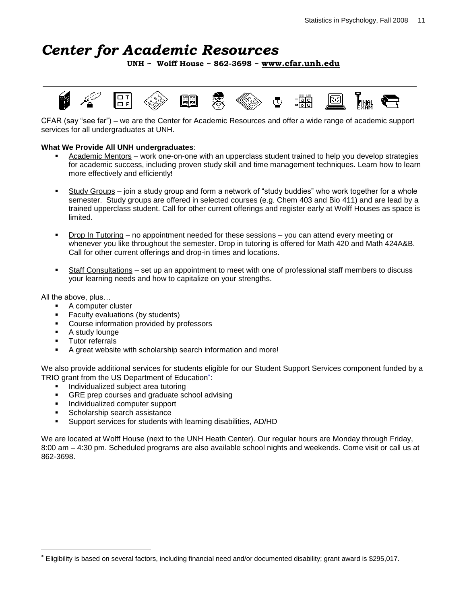# *Center for Academic Resources*

**UNH ~ Wolff House ~ 862-3698 ~ [www.cfar.unh.edu](http://www.cfar.unh.edu/)**



CFAR (say "see far") – we are the Center for Academic Resources and offer a wide range of academic support services for all undergraduates at UNH.

#### **What We Provide All UNH undergraduates**:

- Academic Mentors work one-on-one with an upperclass student trained to help you develop strategies for academic success, including proven study skill and time management techniques. Learn how to learn more effectively and efficiently!
- Study Groups join a study group and form a network of "study buddies" who work together for a whole semester. Study groups are offered in selected courses (e.g. Chem 403 and Bio 411) and are lead by a trained upperclass student. Call for other current offerings and register early at Wolff Houses as space is limited.
- Drop In Tutoring no appointment needed for these sessions you can attend every meeting or whenever you like throughout the semester. Drop in tutoring is offered for Math 420 and Math 424A&B. Call for other current offerings and drop-in times and locations.
- Staff Consultations set up an appointment to meet with one of professional staff members to discuss your learning needs and how to capitalize on your strengths.

All the above, plus…

- A computer cluster
- Faculty evaluations (by students)
- **Course information provided by professors**
- A study lounge
- Tutor referrals
- A great website with scholarship search information and more!

We also provide additional services for students eligible for our Student Support Services component funded by a TRIO grant from the US Department of Education\*:

- Individualized subject area tutoring
- GRE prep courses and graduate school advising
- **Individualized computer support**
- **Scholarship search assistance**
- Support services for students with learning disabilities, AD/HD

We are located at Wolff House (next to the UNH Heath Center). Our regular hours are Monday through Friday, 8:00 am – 4:30 pm. Scheduled programs are also available school nights and weekends. Come visit or call us at 862-3698.

Eligibility is based on several factors, including financial need and/or documented disability; grant award is \$295,017.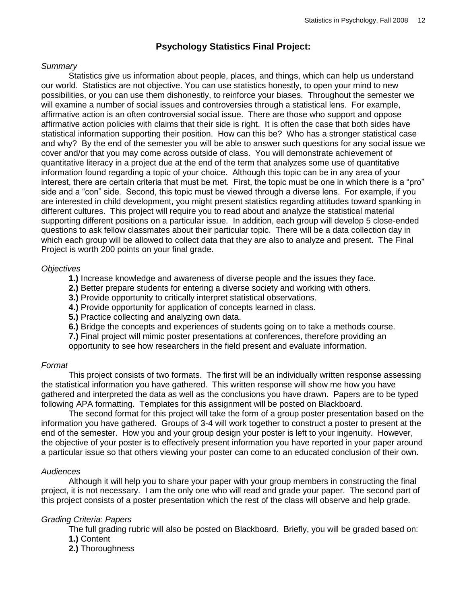## **Psychology Statistics Final Project:**

#### *Summary*

Statistics give us information about people, places, and things, which can help us understand our world. Statistics are not objective. You can use statistics honestly, to open your mind to new possibilities, or you can use them dishonestly, to reinforce your biases. Throughout the semester we will examine a number of social issues and controversies through a statistical lens. For example, affirmative action is an often controversial social issue. There are those who support and oppose affirmative action policies with claims that their side is right. It is often the case that both sides have statistical information supporting their position. How can this be? Who has a stronger statistical case and why? By the end of the semester you will be able to answer such questions for any social issue we cover and/or that you may come across outside of class. You will demonstrate achievement of quantitative literacy in a project due at the end of the term that analyzes some use of quantitative information found regarding a topic of your choice. Although this topic can be in any area of your interest, there are certain criteria that must be met. First, the topic must be one in which there is a "pro" side and a "con" side. Second, this topic must be viewed through a diverse lens. For example, if you are interested in child development, you might present statistics regarding attitudes toward spanking in different cultures. This project will require you to read about and analyze the statistical material supporting different positions on a particular issue. In addition, each group will develop 5 close-ended questions to ask fellow classmates about their particular topic. There will be a data collection day in which each group will be allowed to collect data that they are also to analyze and present. The Final Project is worth 200 points on your final grade.

#### *Objectives*

- **1.)** Increase knowledge and awareness of diverse people and the issues they face.
- **2.)** Better prepare students for entering a diverse society and working with others.
- **3.)** Provide opportunity to critically interpret statistical observations.
- **4.)** Provide opportunity for application of concepts learned in class.
- **5.)** Practice collecting and analyzing own data.
- **6.)** Bridge the concepts and experiences of students going on to take a methods course.

**7.)** Final project will mimic poster presentations at conferences, therefore providing an opportunity to see how researchers in the field present and evaluate information.

### *Format*

This project consists of two formats. The first will be an individually written response assessing the statistical information you have gathered. This written response will show me how you have gathered and interpreted the data as well as the conclusions you have drawn. Papers are to be typed following APA formatting. Templates for this assignment will be posted on Blackboard.

The second format for this project will take the form of a group poster presentation based on the information you have gathered. Groups of 3-4 will work together to construct a poster to present at the end of the semester. How you and your group design your poster is left to your ingenuity. However, the objective of your poster is to effectively present information you have reported in your paper around a particular issue so that others viewing your poster can come to an educated conclusion of their own.

### *Audiences*

Although it will help you to share your paper with your group members in constructing the final project, it is not necessary. I am the only one who will read and grade your paper. The second part of this project consists of a poster presentation which the rest of the class will observe and help grade.

### *Grading Criteria: Papers*

The full grading rubric will also be posted on Blackboard. Briefly, you will be graded based on: **1.)** Content

- 
- **2.)** Thoroughness